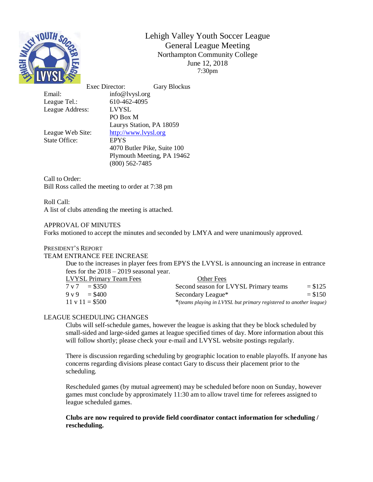

Lehigh Valley Youth Soccer League General League Meeting Northampton Community College June 12, 2018 7:30pm

League Tel.: 610-462-4095 League Address: LVYSL

Exec Director: Gary Blockus Email: info@lvysl.org PO Box M Laurys Station, PA 18059 League Web Site: [http://www.lvysl.org](http://lvysl.org/) State Office: EPYS 4070 Butler Pike, Suite 100 Plymouth Meeting, PA 19462 (800) 562-7485

Call to Order: Bill Ross called the meeting to order at 7:38 pm

Roll Call: A list of clubs attending the meeting is attached.

## APPROVAL OF MINUTES

Forks motioned to accept the minutes and seconded by LMYA and were unanimously approved.

## PRESIDENT'S REPORT

# TEAM ENTRANCE FEE INCREASE

Due to the increases in player fees from EPYS the LVYSL is announcing an increase in entrance fees for the 2018 – 2019 seasonal year.

| <b>LVYSL Primary Team Fees</b> | Other Fees                                                         |            |
|--------------------------------|--------------------------------------------------------------------|------------|
| $7 \text{ v } 7 = $350$        | Second season for LVYSL Primary teams                              | $= $125$   |
| $9 \text{ y } 9 = $400$        | Secondary League*                                                  | $=$ \$1.50 |
| $11 \text{ v } 11 = $500$      | *(teams playing in LVYSL but primary registered to another league) |            |

# LEAGUE SCHEDULING CHANGES

Clubs will self-schedule games, however the league is asking that they be block scheduled by small-sided and large-sided games at league specified times of day. More information about this will follow shortly; please check your e-mail and LVYSL website postings regularly.

There is discussion regarding scheduling by geographic location to enable playoffs. If anyone has concerns regarding divisions please contact Gary to discuss their placement prior to the scheduling.

Rescheduled games (by mutual agreement) may be scheduled before noon on Sunday, however games must conclude by approximately 11:30 am to allow travel time for referees assigned to league scheduled games.

## **Clubs are now required to provide field coordinator contact information for scheduling / rescheduling.**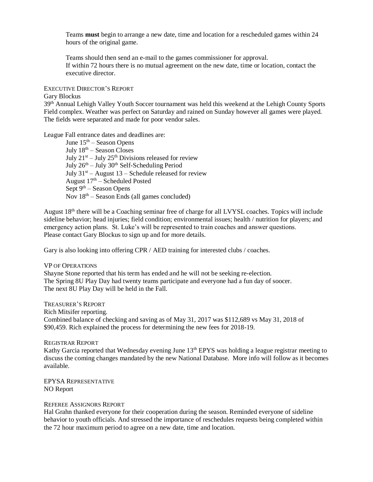Teams **must** begin to arrange a new date, time and location for a rescheduled games within 24 hours of the original game.

Teams should then send an e-mail to the games commissioner for approval. If within 72 hours there is no mutual agreement on the new date, time or location, contact the executive director.

# EXECUTIVE DIRECTOR'S REPORT

### Gary Blockus

39th Annual Lehigh Valley Youth Soccer tournament was held this weekend at the Lehigh County Sports Field complex. Weather was perfect on Saturday and rained on Sunday however all games were played. The fields were separated and made for poor vendor sales.

## League Fall entrance dates and deadlines are:

June  $15<sup>th</sup>$  – Season Opens July  $18<sup>th</sup>$  – Season Closes July  $21^{st}$  – July  $25^{th}$  Divisions released for review July  $26<sup>th</sup> - July 30<sup>th</sup> Self-Scheduling Period$ July  $31<sup>st</sup>$  – August 13 – Schedule released for review August  $17<sup>th</sup>$  – Scheduled Posted Sept  $9<sup>th</sup>$  – Season Opens Nov  $18<sup>th</sup>$  – Season Ends (all games concluded)

August 18th there will be a Coaching seminar free of charge for all LVYSL coaches. Topics will include sideline behavior; head injuries; field condition; environmental issues; health / nutrition for players; and emergency action plans. St. Luke's will be represented to train coaches and answer questions. Please contact Gary Blockus to sign up and for more details.

Gary is also looking into offering CPR / AED training for interested clubs / coaches.

#### VP OF OPERATIONS

Shayne Stone reported that his term has ended and he will not be seeking re-election. The Spring 8U Play Day had twenty teams participate and everyone had a fun day of soocer. The next 8U Play Day will be held in the Fall.

## TREASURER'S REPORT

Rich Mitsifer reporting.

Combined balance of checking and saving as of May 31, 2017 was \$112,689 vs May 31, 2018 of \$90,459. Rich explained the process for determining the new fees for 2018-19.

### REGISTRAR REPORT

Kathy Garcia reported that Wednesday evening June 13<sup>th</sup> EPYS was holding a league registrar meeting to discuss the coming changes mandated by the new National Database. More info will follow as it becomes available.

EPYSA REPRESENTATIVE NO Report

#### REFEREE ASSIGNORS REPORT

Hal Grahn thanked everyone for their cooperation during the season. Reminded everyone of sideline behavior to youth officials. And stressed the importance of reschedules requests being completed within the 72 hour maximum period to agree on a new date, time and location.